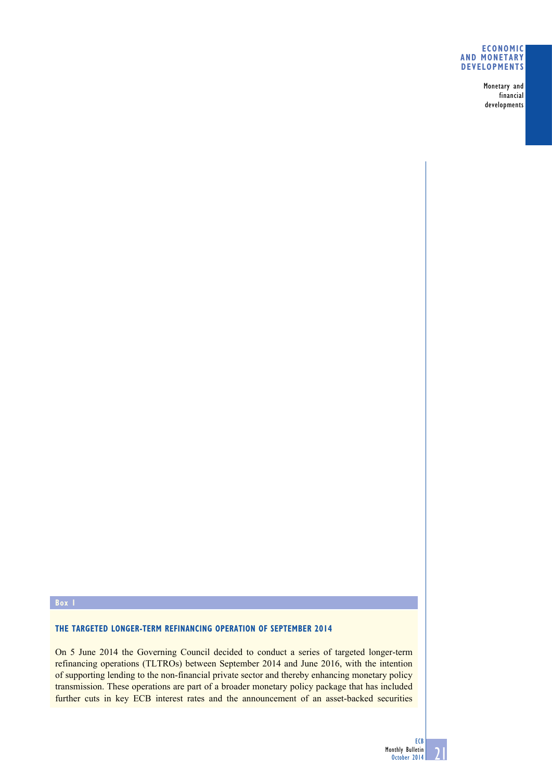## **Economic and monetary developments**

Monetary and financial developments

## **Box 1**

## **The targeted longer-term refinancing operation of September 2014**

On 5 June 2014 the Governing Council decided to conduct a series of targeted longer-term refinancing operations (TLTROs) between September 2014 and June 2016, with the intention of supporting lending to the non-financial private sector and thereby enhancing monetary policy transmission. These operations are part of a broader monetary policy package that has included further cuts in key ECB interest rates and the announcement of an asset-backed securities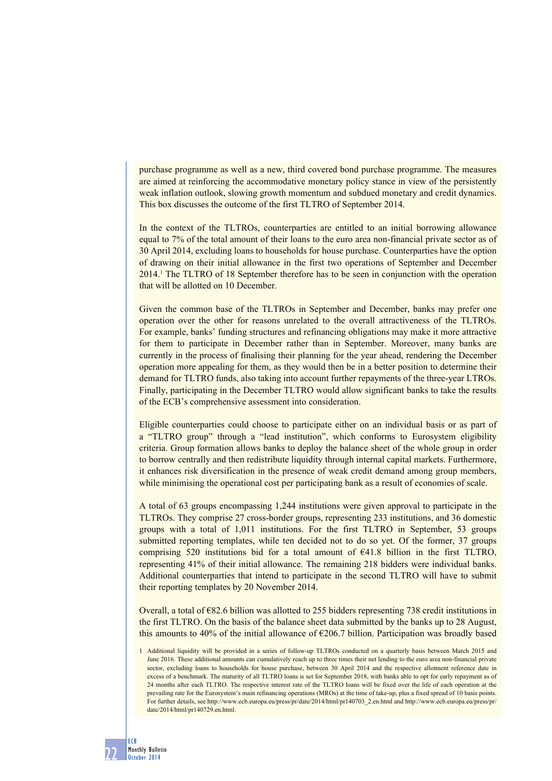purchase programme as well as a new, third covered bond purchase programme. The measures are aimed at reinforcing the accommodative monetary policy stance in view of the persistently weak inflation outlook, slowing growth momentum and subdued monetary and credit dynamics. This box discusses the outcome of the first TLTRO of September 2014.

In the context of the TLTROs, counterparties are entitled to an initial borrowing allowance equal to 7% of the total amount of their loans to the euro area non-financial private sector as of 30 April 2014, excluding loans to households for house purchase. Counterparties have the option of drawing on their initial allowance in the first two operations of September and December 2014.<sup>1</sup> The TLTRO of 18 September therefore has to be seen in conjunction with the operation that will be allotted on 10 December.

Given the common base of the TLTROs in September and December, banks may prefer one operation over the other for reasons unrelated to the overall attractiveness of the TLTROs. For example, banks' funding structures and refinancing obligations may make it more attractive for them to participate in December rather than in September. Moreover, many banks are currently in the process of finalising their planning for the year ahead, rendering the December operation more appealing for them, as they would then be in a better position to determine their demand for TLTRO funds, also taking into account further repayments of the three-year LTROs. Finally, participating in the December TLTRO would allow significant banks to take the results of the ECB's comprehensive assessment into consideration.

Eligible counterparties could choose to participate either on an individual basis or as part of a "TLTRO group" through a "lead institution", which conforms to Eurosystem eligibility criteria. Group formation allows banks to deploy the balance sheet of the whole group in order to borrow centrally and then redistribute liquidity through internal capital markets. Furthermore, it enhances risk diversification in the presence of weak credit demand among group members, while minimising the operational cost per participating bank as a result of economies of scale.

A total of 63 groups encompassing 1,244 institutions were given approval to participate in the TLTROs. They comprise 27 cross-border groups, representing 233 institutions, and 36 domestic groups with a total of 1,011 institutions. For the first TLTRO in September, 53 groups submitted reporting templates, while ten decided not to do so yet. Of the former, 37 groups comprising 520 institutions bid for a total amount of €41.8 billion in the first TLTRO, representing 41% of their initial allowance. The remaining 218 bidders were individual banks. Additional counterparties that intend to participate in the second TLTRO will have to submit their reporting templates by 20 November 2014.

Overall, a total of  $\epsilon$ 82.6 billion was allotted to 255 bidders representing 738 credit institutions in the first TLTRO. On the basis of the balance sheet data submitted by the banks up to 28 August, this amounts to 40% of the initial allowance of  $\epsilon$ 206.7 billion. Participation was broadly based

<sup>1</sup> Additional liquidity will be provided in a series of follow-up TLTROs conducted on a quarterly basis between March 2015 and June 2016. These additional amounts can cumulatively reach up to three times their net lending to the euro area non-financial private sector, excluding loans to households for house purchase, between 30 April 2014 and the respective allotment reference date in excess of a benchmark. The maturity of all TLTRO loans is set for September 2018, with banks able to opt for early repayment as of 24 months after each TLTRO. The respective interest rate of the TLTRO loans will be fixed over the life of each operation at the prevailing rate for the Eurosystem's main refinancing operations (MROs) at the time of take-up, plus a fixed spread of 10 basis points. For further details, see [http://www.ecb.europa.eu/press/pr/date/2014/html/pr140703\\_2.en.html](http://www.ecb.europa.eu/press/pr/date/2014/html/pr140703_2.en.html) and [http://www.ecb.europa.eu/press/pr/](http://www.ecb.europa.eu/press/pr/date/2014/html/pr140729.en.html) [date/2014/html/pr140729.en.html.](http://www.ecb.europa.eu/press/pr/date/2014/html/pr140729.en.html)